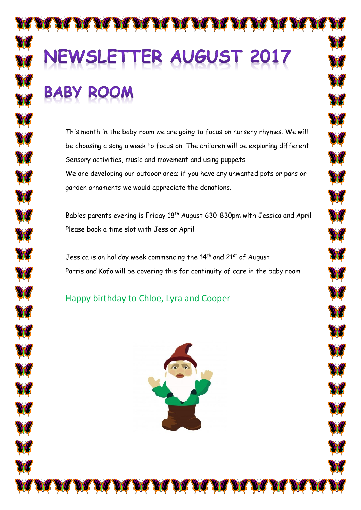# **AUGUST 2017 TFR**

This month in the baby room we are going to focus on nursery rhymes. We will be choosing a song a week to focus on. The children will be exploring different Sensory activities, music and movement and using puppets.

We are developing our outdoor area; if you have any unwanted pots or pans or garden ornaments we would appreciate the donations.

Babies parents evening is Friday 18<sup>th</sup> August 630-830pm with Jessica and April Please book a time slot with Jess or April

Jessica is on holiday week commencing the  $14<sup>th</sup>$  and  $21<sup>st</sup>$  of August Parris and Kofo will be covering this for continuity of care in the baby room

Happy birthday to Chloe, Lyra and Cooper

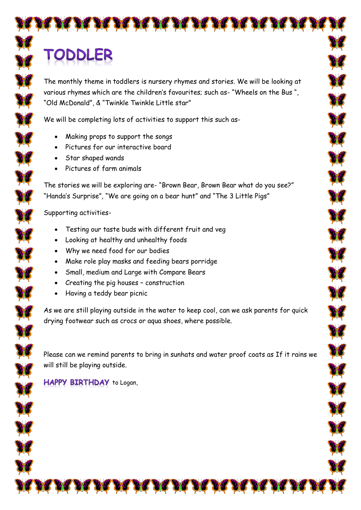# TODDLER

The monthly theme in toddlers is nursery rhymes and stories. We will be looking at various rhymes which are the children's favourites; such as- "Wheels on the Bus ", "Old McDonald", & "Twinkle Twinkle Little star"

We will be completing lots of activities to support this such as-

- Making props to support the songs
- Pictures for our interactive board
- Star shaped wands
- Pictures of farm animals

The stories we will be exploring are- "Brown Bear, Brown Bear what do you see?" "Handa's Surprise", "We are going on a bear hunt" and "The 3 Little Pigs"

Supporting activities-

- Testing our taste buds with different fruit and veg
- Looking at healthy and unhealthy foods
- Why we need food for our bodies
- Make role play masks and feeding bears porridge
- Small, medium and Large with Compare Bears
- Creating the pig houses construction
- Having a teddy bear picnic

As we are still playing outside in the water to keep cool, can we ask parents for quick drying footwear such as crocs or aqua shoes, where possible.

Please can we remind parents to bring in sunhats and water proof coats as If it rains we will still be playing outside.

#### **HAPPY BIRTHDAY** to Logan,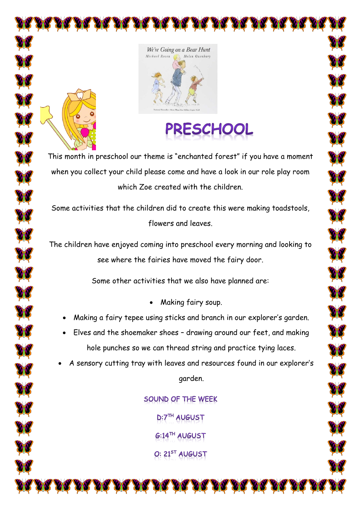





This month in preschool our theme is "enchanted forest" if you have a moment when you collect your child please come and have a look in our role play room which Zoe created with the children.

Some activities that the children did to create this were making toadstools, flowers and leaves.

The children have enjoyed coming into preschool every morning and looking to see where the fairies have moved the fairy door.

Some other activities that we also have planned are:

- Making fairy soup.
- Making a fairy tepee using sticks and branch in our explorer's garden.
- Elves and the shoemaker shoes drawing around our feet, and making hole punches so we can thread string and practice tying laces.
- A sensory cutting tray with leaves and resources found in our explorer's garden.

SOUND OF THE WEEK D:7TH AUGUST **G:14™ AUGUST** O: 21<sup>ST</sup> AUGUST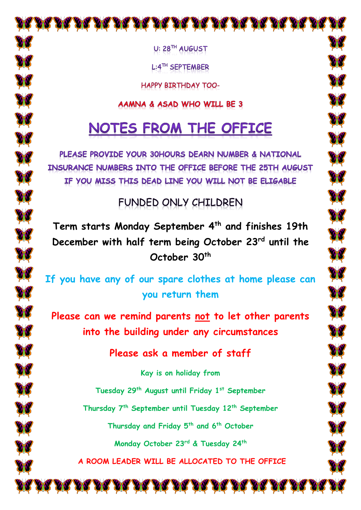U: 28TH AUGUST

DR DR DR DR DR DR DR DR DR

L:4TH SEPTEMBER

HAPPY BIRTHDAY TOO-

#### AAMNA & ASAD WHO WILL BE 3

## NOTES FROM THE OFFICE

PLEASE PROVIDE YOUR 30HOURS DEARN NUMBER & NATIONAL INSURANCE NUMBERS INTO THE OFFICE BEFORE THE 25TH AUGUST IF YOU MISS THIS DEAD LINE YOU WILL NOT BE ELIGABLE

### FUNDED ONLY CHILDREN

**Term starts Monday September 4th and finishes 19th December with half term being October 23rd until the October 30th**

A

X

X

**If you have any of our spare clothes at home please can you return them** 

**Please can we remind parents not to let other parents into the building under any circumstances**

**Please ask a member of staff** 

**Kay is on holiday from Tuesday 29th August until Friday 1st September Thursday 7th September until Tuesday 12th September Thursday and Friday 5th and 6th October Monday October 23rd & Tuesday 24th A ROOM LEADER WILL BE ALLOCATED TO THE OFFICE**